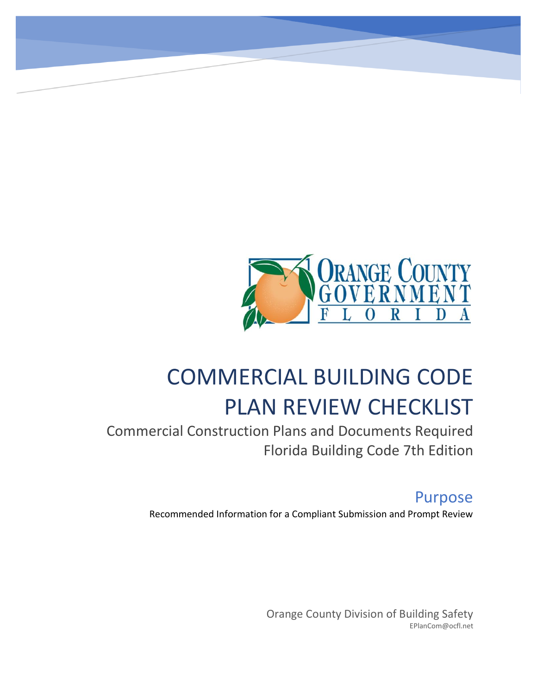

# COMMERCIAL BUILDING CODE PLAN REVIEW CHECKLIST

Commercial Construction Plans and Documents Required Florida Building Code 7th Edition

# Purpose

Recommended Information for a Compliant Submission and Prompt Review

Orange County Division of Building Safety EPlanCom@ocfl.net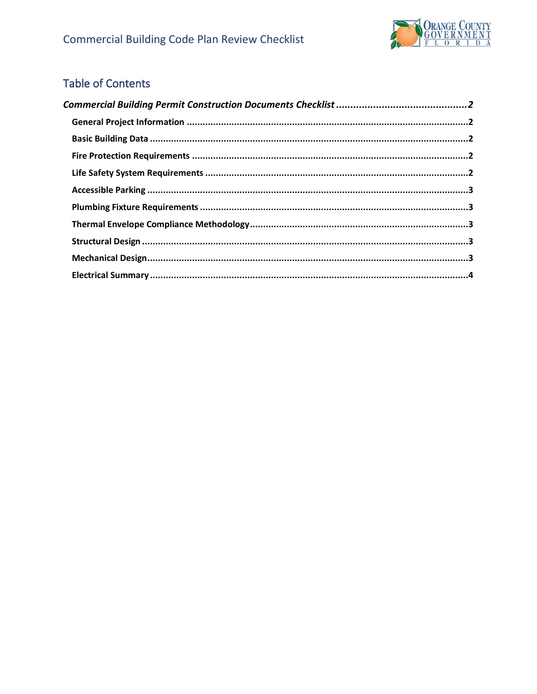

# Table of Contents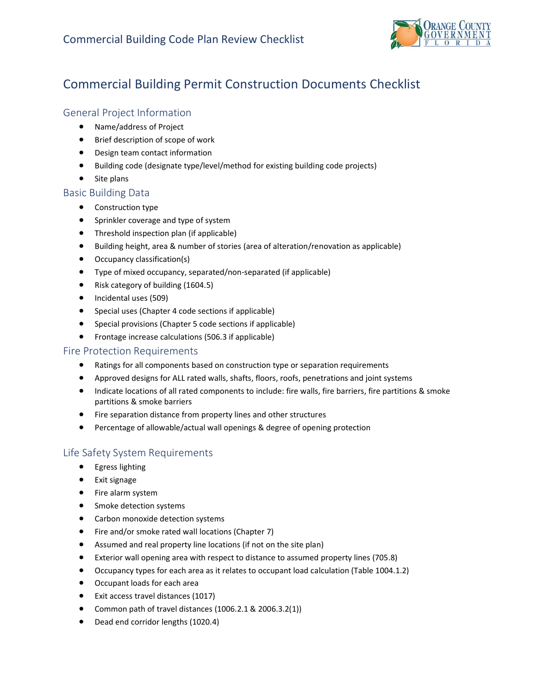

# <span id="page-2-0"></span>Commercial Building Permit Construction Documents Checklist

# <span id="page-2-1"></span>General Project Information

- Name/address of Project
- Brief description of scope of work
- Design team contact information
- Building code (designate type/level/method for existing building code projects)
- Site plans

## <span id="page-2-2"></span>Basic Building Data

- Construction type
- Sprinkler coverage and type of system
- Threshold inspection plan (if applicable)
- Building height, area & number of stories (area of alteration/renovation as applicable)
- Occupancy classification(s)
- Type of mixed occupancy, separated/non-separated (if applicable)
- Risk category of building (1604.5)
- Incidental uses (509)
- Special uses (Chapter 4 code sections if applicable)
- Special provisions (Chapter 5 code sections if applicable)
- Frontage increase calculations (506.3 if applicable)

## <span id="page-2-3"></span>Fire Protection Requirements

- Ratings for all components based on construction type or separation requirements
- Approved designs for ALL rated walls, shafts, floors, roofs, penetrations and joint systems
- Indicate locations of all rated components to include: fire walls, fire barriers, fire partitions & smoke partitions & smoke barriers
- Fire separation distance from property lines and other structures
- Percentage of allowable/actual wall openings & degree of opening protection

# <span id="page-2-4"></span>Life Safety System Requirements

- Egress lighting
- Exit signage
- Fire alarm system
- Smoke detection systems
- Carbon monoxide detection systems
- Fire and/or smoke rated wall locations (Chapter 7)
- Assumed and real property line locations (if not on the site plan)
- Exterior wall opening area with respect to distance to assumed property lines (705.8)
- Occupancy types for each area as it relates to occupant load calculation (Table 1004.1.2)
- Occupant loads for each area
- Exit access travel distances (1017)
- Common path of travel distances (1006.2.1 & 2006.3.2(1))
- Dead end corridor lengths (1020.4)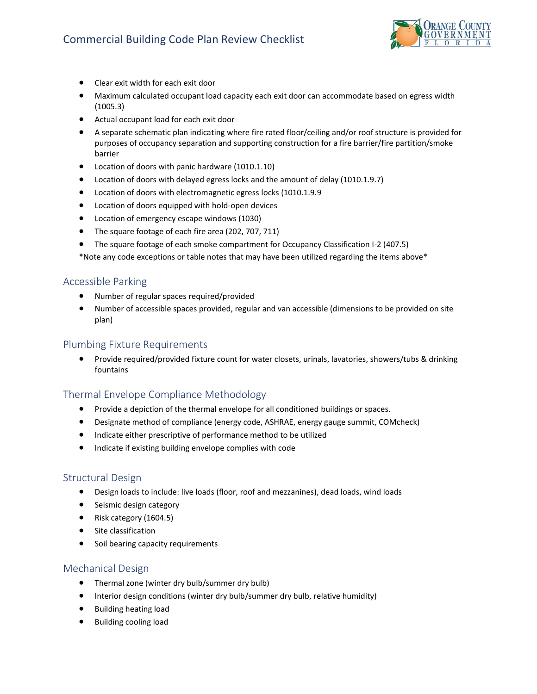

- Clear exit width for each exit door
- Maximum calculated occupant load capacity each exit door can accommodate based on egress width (1005.3)
- Actual occupant load for each exit door
- A separate schematic plan indicating where fire rated floor/ceiling and/or roof structure is provided for purposes of occupancy separation and supporting construction for a fire barrier/fire partition/smoke barrier
- Location of doors with panic hardware (1010.1.10)
- Location of doors with delayed egress locks and the amount of delay (1010.1.9.7)
- Location of doors with electromagnetic egress locks (1010.1.9.9
- Location of doors equipped with hold-open devices
- Location of emergency escape windows (1030)
- The square footage of each fire area (202, 707, 711)
- The square footage of each smoke compartment for Occupancy Classification I-2 (407.5)

\*Note any code exceptions or table notes that may have been utilized regarding the items above\*

### <span id="page-3-0"></span>Accessible Parking

- Number of regular spaces required/provided
- Number of accessible spaces provided, regular and van accessible (dimensions to be provided on site plan)

#### <span id="page-3-1"></span>Plumbing Fixture Requirements

• Provide required/provided fixture count for water closets, urinals, lavatories, showers/tubs & drinking fountains

## <span id="page-3-2"></span>Thermal Envelope Compliance Methodology

- Provide a depiction of the thermal envelope for all conditioned buildings or spaces.
- Designate method of compliance (energy code, ASHRAE, energy gauge summit, COMcheck)
- Indicate either prescriptive of performance method to be utilized
- Indicate if existing building envelope complies with code

#### <span id="page-3-3"></span>Structural Design

- Design loads to include: live loads (floor, roof and mezzanines), dead loads, wind loads
- Seismic design category
- Risk category (1604.5)
- Site classification
- Soil bearing capacity requirements

#### <span id="page-3-4"></span>Mechanical Design

- Thermal zone (winter dry bulb/summer dry bulb)
- Interior design conditions (winter dry bulb/summer dry bulb, relative humidity)
- Building heating load
- Building cooling load